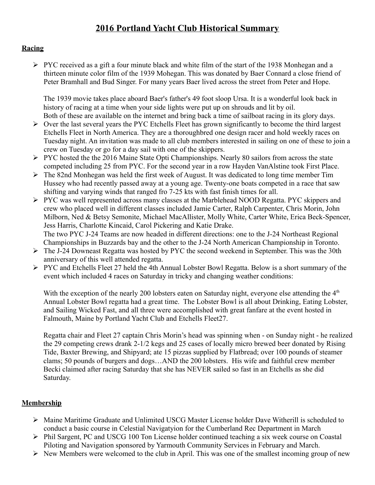# **2016 Portland Yacht Club Historical Summary**

#### **Racing**

 $\triangleright$  PYC received as a gift a four minute black and white film of the start of the 1938 Monhegan and a thirteen minute color film of the 1939 Mohegan. This was donated by Baer Connard a close friend of Peter Bramhall and Bud Singer. For many years Baer lived across the street from Peter and Hope.

The 1939 movie takes place aboard Baer's father's 49 foot sloop Ursa. It is a wonderful look back in history of racing at a time when your side lights were put up on shrouds and lit by oil. Both of these are available on the internet and bring back a time of sailboat racing in its glory days.

- $\triangleright$  Over the last several years the PYC Etchells Fleet has grown significantly to become the third largest Etchells Fleet in North America. They are a thoroughbred one design racer and hold weekly races on Tuesday night. An invitation was made to all club members interested in sailing on one of these to join a crew on Tuesday or go for a day sail with one of the skippers.
- $\triangleright$  PYC hosted the the 2016 Maine State Opti Championships. Nearly 80 sailors from across the state competed including 25 from PYC. For the second year in a row Hayden VanAlstine took First Place.
- The 82nd Monhegan was held the first week of August. It was dedicated to long time member Tim Hussey who had recently passed away at a young age. Twenty-one boats competed in a race that saw shifting and varying winds that ranged fro 7-25 kts with fast finish times for all.
- PYC was well represented across many classes at the Marblehead NOOD Regatta. PYC skippers and crew who placed well in different classes included Jamie Carter, Ralph Carpenter, Chris Morin, John Milborn, Ned & Betsy Semonite, Michael MacAllister, Molly White, Carter White, Erica Beck-Spencer, Jess Harris, Charlotte Kincaid, Carol Pickering and Katie Drake. The two PYC J-24 Teams are now headed in different directions: one to the J-24 Northeast Regional Championships in Buzzards bay and the other to the J-24 North American Championship in Toronto.
- The J-24 Downeast Regatta was hosted by PYC the second weekend in September. This was the 30th anniversary of this well attended regatta.
- $\triangleright$  PYC and Etchells Fleet 27 held the 4th Annual Lobster Bowl Regatta. Below is a short summary of the event which included 4 races on Saturday in tricky and changing weather conditions:

With the exception of the nearly 200 lobsters eaten on Saturday night, everyone else attending the  $4<sup>th</sup>$ Annual Lobster Bowl regatta had a great time. The Lobster Bowl is all about Drinking, Eating Lobster, and Sailing Wicked Fast, and all three were accomplished with great fanfare at the event hosted in Falmouth, Maine by Portland Yacht Club and Etchells Fleet27.

Regatta chair and Fleet 27 captain Chris Morin's head was spinning when - on Sunday night - he realized the 29 competing crews drank 2-1/2 kegs and 25 cases of locally micro brewed beer donated by Rising Tide, Baxter Brewing, and Shipyard; ate 15 pizzas supplied by Flatbread; over 100 pounds of steamer clams; 50 pounds of burgers and dogs…AND the 200 lobsters. His wife and faithful crew member Becki claimed after racing Saturday that she has NEVER sailed so fast in an Etchells as she did Saturday.

## **Membership**

- $\triangleright$  Maine Maritime Graduate and Unlimited USCG Master License holder Dave Witherill is scheduled to conduct a basic course in Celestial Navigatyion for the Cumberland Rec Department in March
- Phil Sargent, PC and USCG 100 Ton License holder continued teaching a six week course on Coastal Piloting and Navigation sponsored by Yarmouth Community Services in February and March.
- $\triangleright$  New Members were welcomed to the club in April. This was one of the smallest incoming group of new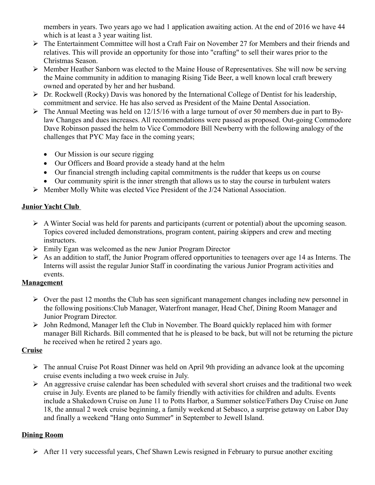members in years. Two years ago we had 1 application awaiting action. At the end of 2016 we have 44 which is at least a 3 year waiting list.

- The Entertainment Committee will host a Craft Fair on November 27 for Members and their friends and relatives. This will provide an opportunity for those into "crafting" to sell their wares prior to the Christmas Season.
- Member Heather Sanborn was elected to the Maine House of Representatives. She will now be serving the Maine community in addition to managing Rising Tide Beer, a well known local craft brewery owned and operated by her and her husband.
- $\triangleright$  Dr. Rockwell (Rocky) Davis was honored by the International College of Dentist for his leadership, commitment and service. He has also served as President of the Maine Dental Association.
- $\triangleright$  The Annual Meeting was held on 12/15/16 with a large turnout of over 50 members due in part to Bylaw Changes and dues increases. All recommendations were passed as proposed. Out-going Commodore Dave Robinson passed the helm to Vice Commodore Bill Newberry with the following analogy of the challenges that PYC May face in the coming years;
	- Our Mission is our secure rigging
	- Our Officers and Board provide a steady hand at the helm
	- Our financial strength including capital commitments is the rudder that keeps us on course
	- Our community spirit is the inner strength that allows us to stay the course in turbulent waters
- $\triangleright$  Member Molly White was elected Vice President of the J/24 National Association.

## **Junior Yacht Club**

- $\triangleright$  A Winter Social was held for parents and participants (current or potential) about the upcoming season. Topics covered included demonstrations, program content, pairing skippers and crew and meeting instructors.
- $\triangleright$  Emily Egan was welcomed as the new Junior Program Director
- $\triangleright$  As an addition to staff, the Junior Program offered opportunities to teenagers over age 14 as Interns. The Interns will assist the regular Junior Staff in coordinating the various Junior Program activities and events.

## **Management**

- $\triangleright$  Over the past 12 months the Club has seen significant management changes including new personnel in the following positions:Club Manager, Waterfront manager, Head Chef, Dining Room Manager and Junior Program Director.
- John Redmond, Manager left the Club in November. The Board quickly replaced him with former manager Bill Richards. Bill commented that he is pleased to be back, but will not be returning the picture he received when he retired 2 years ago.

## **Cruise**

- $\triangleright$  The annual Cruise Pot Roast Dinner was held on April 9th providing an advance look at the upcoming cruise events including a two week cruise in July.
- $\triangleright$  An aggressive cruise calendar has been scheduled with several short cruises and the traditional two week cruise in July. Events are planed to be family friendly with activities for children and adults. Events include a Shakedown Cruise on June 11 to Potts Harbor, a Summer solstice/Fathers Day Cruise on June 18, the annual 2 week cruise beginning, a family weekend at Sebasco, a surprise getaway on Labor Day and finally a weekend "Hang onto Summer" in September to Jewell Island.

## **Dining Room**

 $\triangleright$  After 11 very successful years, Chef Shawn Lewis resigned in February to pursue another exciting